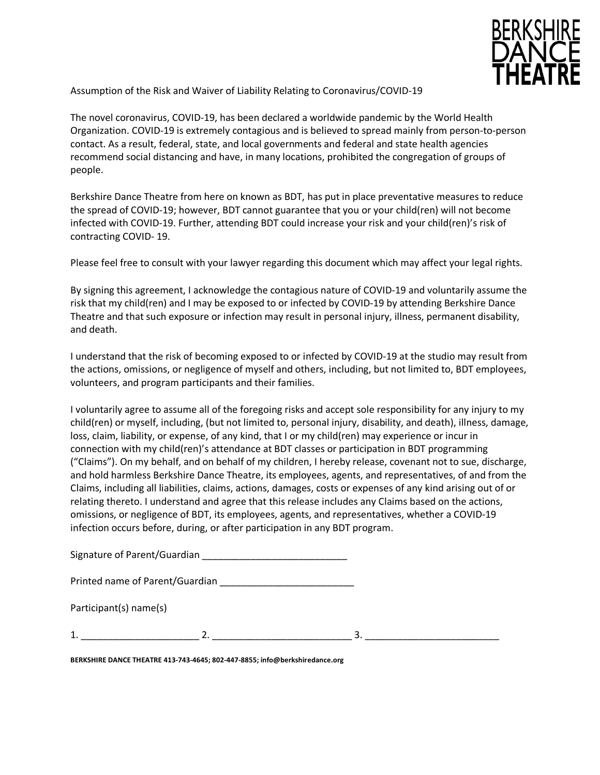

Assumption of the Risk and Waiver of Liability Relating to Coronavirus/COVID-19

The novel coronavirus, COVID-19, has been declared a worldwide pandemic by the World Health Organization. COVID-19 is extremely contagious and is believed to spread mainly from person-to-person contact. As a result, federal, state, and local governments and federal and state health agencies recommend social distancing and have, in many locations, prohibited the congregation of groups of people.

Berkshire Dance Theatre from here on known as BDT, has put in place preventative measures to reduce the spread of COVID-19; however, BDT cannot guarantee that you or your child(ren) will not become infected with COVID-19. Further, attending BDT could increase your risk and your child(ren)'s risk of contracting COVID- 19.

Please feel free to consult with your lawyer regarding this document which may affect your legal rights.

By signing this agreement, I acknowledge the contagious nature of COVID-19 and voluntarily assume the risk that my child(ren) and I may be exposed to or infected by COVID-19 by attending Berkshire Dance Theatre and that such exposure or infection may result in personal injury, illness, permanent disability, and death.

I understand that the risk of becoming exposed to or infected by COVID-19 at the studio may result from the actions, omissions, or negligence of myself and others, including, but not limited to, BDT employees, volunteers, and program participants and their families.

I voluntarily agree to assume all of the foregoing risks and accept sole responsibility for any injury to my child(ren) or myself, including, (but not limited to, personal injury, disability, and death), illness, damage, loss, claim, liability, or expense, of any kind, that I or my child(ren) may experience or incur in connection with my child(ren)'s attendance at BDT classes or participation in BDT programming ("Claims"). On my behalf, and on behalf of my children, I hereby release, covenant not to sue, discharge, and hold harmless Berkshire Dance Theatre, its employees, agents, and representatives, of and from the Claims, including all liabilities, claims, actions, damages, costs or expenses of any kind arising out of or relating thereto. I understand and agree that this release includes any Claims based on the actions, omissions, or negligence of BDT, its employees, agents, and representatives, whether a COVID-19 infection occurs before, during, or after participation in any BDT program.

Signature of Parent/Guardian

Printed name of Parent/Guardian \_\_\_\_\_\_\_\_\_\_\_\_\_\_\_\_\_\_\_\_\_\_\_\_\_

Participant(s) name(s)

 $1.$   $2.$ 

**BERKSHIRE DANCE THEATRE 413-743-4645; 802-447-8855; info@berkshiredance.org**